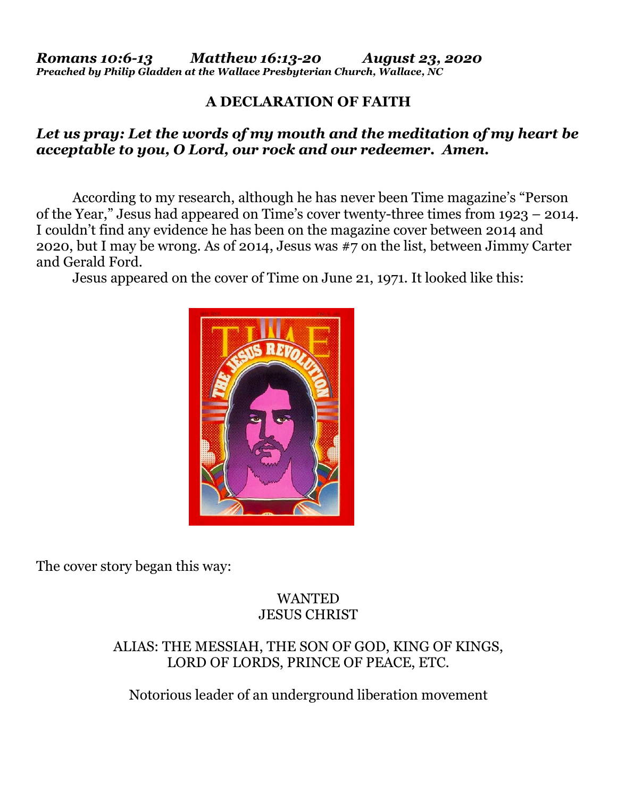## **A DECLARATION OF FAITH**

## *Let us pray: Let the words of my mouth and the meditation of my heart be acceptable to you, O Lord, our rock and our redeemer. Amen.*

According to my research, although he has never been Time magazine's "Person of the Year," Jesus had appeared on Time's cover twenty-three times from 1923 – 2014. I couldn't find any evidence he has been on the magazine cover between 2014 and 2020, but I may be wrong. As of 2014, Jesus was #7 on the list, between Jimmy Carter and Gerald Ford.

Jesus appeared on the cover of Time on June 21, 1971. It looked like this:



The cover story began this way:

## WANTED JESUS CHRIST

### ALIAS: THE MESSIAH, THE SON OF GOD, KING OF KINGS, LORD OF LORDS, PRINCE OF PEACE, ETC.

Notorious leader of an underground liberation movement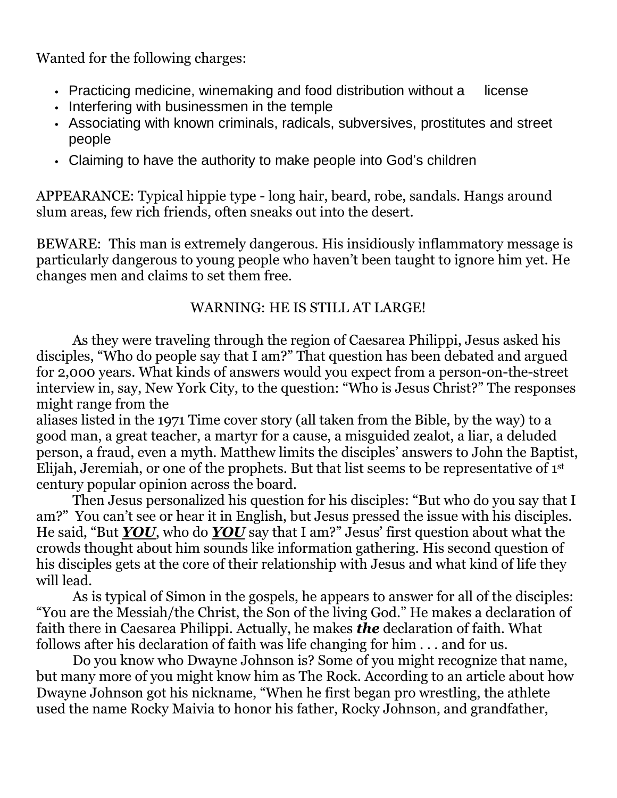Wanted for the following charges:

- Practicing medicine, winemaking and food distribution without a license
- Interfering with businessmen in the temple
- Associating with known criminals, radicals, subversives, prostitutes and street people
- Claiming to have the authority to make people into God's children

APPEARANCE: Typical hippie type - long hair, beard, robe, sandals. Hangs around slum areas, few rich friends, often sneaks out into the desert.

BEWARE: This man is extremely dangerous. His insidiously inflammatory message is particularly dangerous to young people who haven't been taught to ignore him yet. He changes men and claims to set them free.

# WARNING: HE IS STILL AT LARGE!

As they were traveling through the region of Caesarea Philippi, Jesus asked his disciples, "Who do people say that I am?" That question has been debated and argued for 2,000 years. What kinds of answers would you expect from a person-on-the-street interview in, say, New York City, to the question: "Who is Jesus Christ?" The responses might range from the

aliases listed in the 1971 Time cover story (all taken from the Bible, by the way) to a good man, a great teacher, a martyr for a cause, a misguided zealot, a liar, a deluded person, a fraud, even a myth. Matthew limits the disciples' answers to John the Baptist, Elijah, Jeremiah, or one of the prophets. But that list seems to be representative of 1<sup>st</sup> century popular opinion across the board.

Then Jesus personalized his question for his disciples: "But who do you say that I am?" You can't see or hear it in English, but Jesus pressed the issue with his disciples. He said, "But *YOU*, who do *YOU* say that I am?" Jesus' first question about what the crowds thought about him sounds like information gathering. His second question of his disciples gets at the core of their relationship with Jesus and what kind of life they will lead.

As is typical of Simon in the gospels, he appears to answer for all of the disciples: "You are the Messiah/the Christ, the Son of the living God." He makes a declaration of faith there in Caesarea Philippi. Actually, he makes *the* declaration of faith. What follows after his declaration of faith was life changing for him . . . and for us.

Do you know who Dwayne Johnson is? Some of you might recognize that name, but many more of you might know him as The Rock. According to an article about how Dwayne Johnson got his nickname, "When he first began pro wrestling, the athlete used the name Rocky Maivia to honor his father, Rocky Johnson, and grandfather,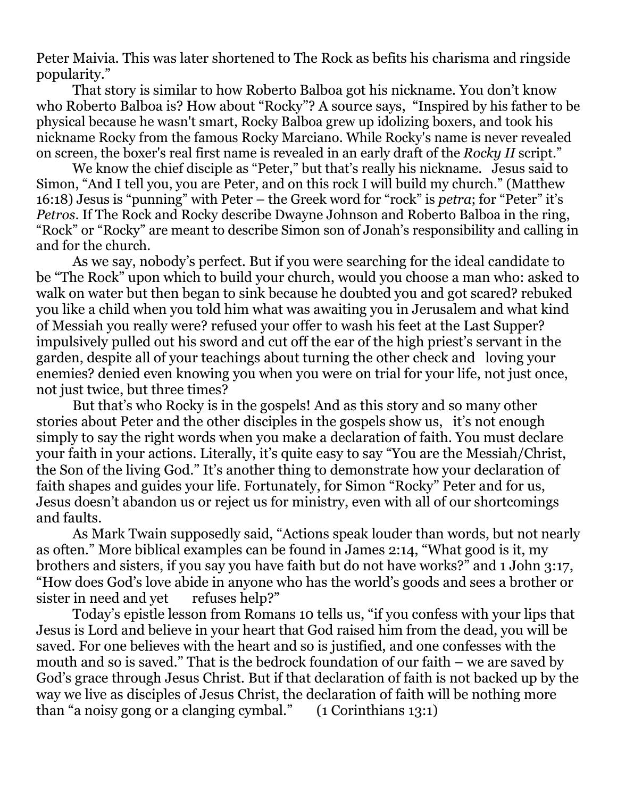Peter Maivia. This was later shortened to The Rock as befits his charisma and ringside popularity."

That story is similar to how Roberto Balboa got his nickname. You don't know who Roberto Balboa is? How about "Rocky"? A source says, "Inspired by his father to be physical because he wasn't smart, Rocky Balboa grew up idolizing boxers, and took his nickname Rocky from the famous Rocky Marciano. While Rocky's name is never revealed on screen, the boxer's real first name is revealed in an early draft of the *Rocky II* script."

We know the chief disciple as "Peter," but that's really his nickname. Jesus said to Simon, "And I tell you, you are Peter, and on this rock I will build my church." (Matthew 16:18) Jesus is "punning" with Peter – the Greek word for "rock" is *petra*; for "Peter" it's *Petros*. If The Rock and Rocky describe Dwayne Johnson and Roberto Balboa in the ring, "Rock" or "Rocky" are meant to describe Simon son of Jonah's responsibility and calling in and for the church.

As we say, nobody's perfect. But if you were searching for the ideal candidate to be "The Rock" upon which to build your church, would you choose a man who: asked to walk on water but then began to sink because he doubted you and got scared? rebuked you like a child when you told him what was awaiting you in Jerusalem and what kind of Messiah you really were? refused your offer to wash his feet at the Last Supper? impulsively pulled out his sword and cut off the ear of the high priest's servant in the garden, despite all of your teachings about turning the other check and loving your enemies? denied even knowing you when you were on trial for your life, not just once, not just twice, but three times?

But that's who Rocky is in the gospels! And as this story and so many other stories about Peter and the other disciples in the gospels show us, it's not enough simply to say the right words when you make a declaration of faith. You must declare your faith in your actions. Literally, it's quite easy to say "You are the Messiah/Christ, the Son of the living God." It's another thing to demonstrate how your declaration of faith shapes and guides your life. Fortunately, for Simon "Rocky" Peter and for us, Jesus doesn't abandon us or reject us for ministry, even with all of our shortcomings and faults.

As Mark Twain supposedly said, "Actions speak louder than words, but not nearly as often." More biblical examples can be found in James 2:14, "What good is it, my brothers and sisters, if you say you have faith but do not have works?" and 1 John 3:17, "How does God's love abide in anyone who has the world's goods and sees a brother or sister in need and yet refuses help?"

Today's epistle lesson from Romans 10 tells us, "if you confess with your lips that Jesus is Lord and believe in your heart that God raised him from the dead, you will be saved. For one believes with the heart and so is justified, and one confesses with the mouth and so is saved." That is the bedrock foundation of our faith – we are saved by God's grace through Jesus Christ. But if that declaration of faith is not backed up by the way we live as disciples of Jesus Christ, the declaration of faith will be nothing more than "a noisy gong or a clanging cymbal." (1 Corinthians 13:1)